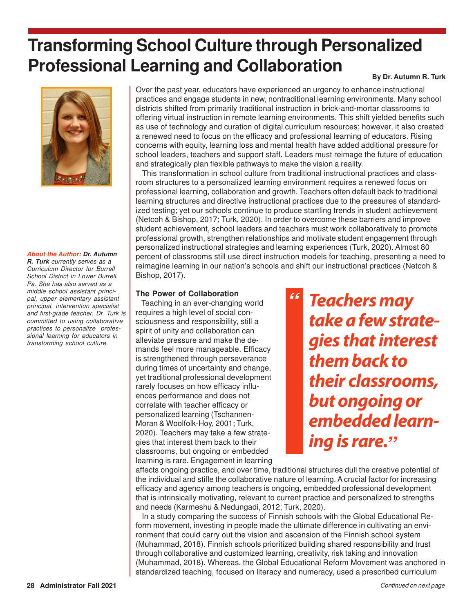# **Transforming School Culture through Personalized Professional Learning and Collaboration**

# **By Dr. Autumn R. Turk**



#### **About the Author: Dr. Autumn**

**R. Turk** currently serves as a Curriculum Director for Burrell School District in Lower Burrell, Pa. She has also served as a middle school assistant principal, upper elementary assistant principal, intervention specialist and first-grade teacher. Dr. Turk is committed to using collaborative practices to personalize professional learning for educators in transforming school culture.

Over the past year, educators have experienced an urgency to enhance instructional practices and engage students in new, nontraditional learning environments. Many school districts shifted from primarily traditional instruction in brick-and-mortar classrooms to offering virtual instruction in remote learning environments. This shift yielded benefits such as use of technology and curation of digital curriculum resources; however, it also created a renewed need to focus on the efficacy and professional learning of educators. Rising concerns with equity, learning loss and mental health have added additional pressure for school leaders, teachers and support staff. Leaders must reimage the future of education and strategically plan flexible pathways to make the vision a reality.

 This transformation in school culture from traditional instructional practices and classroom structures to a personalized learning environment requires a renewed focus on professional learning, collaboration and growth. Teachers often default back to traditional learning structures and directive instructional practices due to the pressures of standardized testing; yet our schools continue to produce startling trends in student achievement (Netcoh & Bishop, 2017; Turk, 2020). In order to overcome these barriers and improve student achievement, school leaders and teachers must work collaboratively to promote professional growth, strengthen relationships and motivate student engagement through personalized instructional strategies and learning experiences (Turk, 2020). Almost 80 percent of classrooms still use direct instruction models for teaching, presenting a need to reimagine learning in our nation's schools and shift our instructional practices (Netcoh & Bishop, 2017).

**"**

# **The Power of Collaboration**

 Teaching in an ever-changing world requires a high level of social consciousness and responsibility, still a spirit of unity and collaboration can alleviate pressure and make the demands feel more manageable. Efficacy is strengthened through perseverance during times of uncertainty and change, yet traditional professional development rarely focuses on how efficacy influences performance and does not correlate with teacher efficacy or personalized learning (Tschannen-Moran & Woolfolk-Hoy, 2001; Turk, 2020). Teachers may take a few strategies that interest them back to their classrooms, but ongoing or embedded learning is rare. Engagement in learning **Teachers may take a few strategies that interest them back to their classrooms, but ongoing or embedded learning is rare.** . . . . .<br>*33* 

affects ongoing practice, and over time, traditional structures dull the creative potential of the individual and stifle the collaborative nature of learning. A crucial factor for increasing efficacy and agency among teachers is ongoing, embedded professional development that is intrinsically motivating, relevant to current practice and personalized to strengths and needs (Karmeshu & Nedungadi, 2012; Turk, 2020).

 In a study comparing the success of Finnish schools with the Global Educational Reform movement, investing in people made the ultimate difference in cultivating an environment that could carry out the vision and ascension of the Finnish school system (Muhammad, 2018). Finnish schools prioritized building shared responsibility and trust through collaborative and customized learning, creativity, risk taking and innovation (Muhammad, 2018). Whereas, the Global Educational Reform Movement was anchored in standardized teaching, focused on literacy and numeracy, used a prescribed curriculum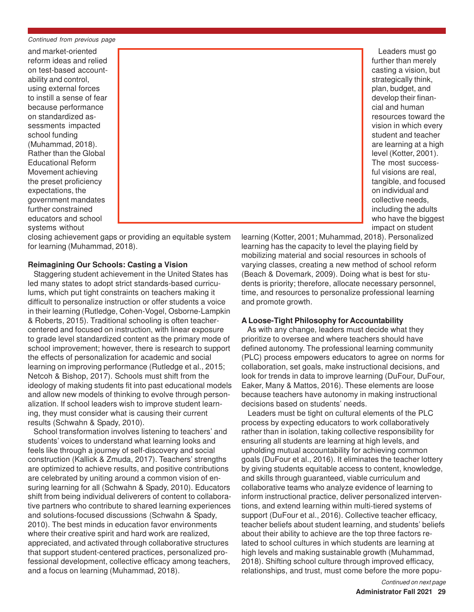Continued from previous page

and market-oriented reform ideas and relied on test-based accountability and control, using external forces to instill a sense of fear because performance on standardized assessments impacted school funding (Muhammad, 2018). Rather than the Global Educational Reform Movement achieving the preset proficiency expectations, the government mandates further constrained educators and school systems without



closing achievement gaps or providing an equitable system for learning (Muhammad, 2018).

# **Reimagining Our Schools: Casting a Vision**

 Staggering student achievement in the United States has led many states to adopt strict standards-based curriculums, which put tight constraints on teachers making it difficult to personalize instruction or offer students a voice in their learning (Rutledge, Cohen-Vogel, Osborne-Lampkin & Roberts, 2015). Traditional schooling is often teachercentered and focused on instruction, with linear exposure to grade level standardized content as the primary mode of school improvement; however, there is research to support the effects of personalization for academic and social learning on improving performance (Rutledge et al., 2015; Netcoh & Bishop, 2017). Schools must shift from the ideology of making students fit into past educational models and allow new models of thinking to evolve through personalization. If school leaders wish to improve student learning, they must consider what is causing their current results (Schwahn & Spady, 2010).

 School transformation involves listening to teachers' and students' voices to understand what learning looks and feels like through a journey of self-discovery and social construction (Kallick & Zmuda, 2017). Teachers' strengths are optimized to achieve results, and positive contributions are celebrated by uniting around a common vision of ensuring learning for all (Schwahn & Spady, 2010). Educators shift from being individual deliverers of content to collaborative partners who contribute to shared learning experiences and solutions-focused discussions (Schwahn & Spady, 2010). The best minds in education favor environments where their creative spirit and hard work are realized, appreciated, and activated through collaborative structures that support student-centered practices, personalized professional development, collective efficacy among teachers, and a focus on learning (Muhammad, 2018).

 Leaders must go further than merely casting a vision, but strategically think, plan, budget, and develop their financial and human resources toward the vision in which every student and teacher are learning at a high level (Kotter, 2001). The most successful visions are real, tangible, and focused on individual and collective needs, including the adults who have the biggest impact on student

learning (Kotter, 2001; Muhammad, 2018). Personalized learning has the capacity to level the playing field by mobilizing material and social resources in schools of varying classes, creating a new method of school reform (Beach & Dovemark, 2009). Doing what is best for students is priority; therefore, allocate necessary personnel, time, and resources to personalize professional learning and promote growth.

# **A Loose-Tight Philosophy for Accountability**

 As with any change, leaders must decide what they prioritize to oversee and where teachers should have defined autonomy. The professional learning community (PLC) process empowers educators to agree on norms for collaboration, set goals, make instructional decisions, and look for trends in data to improve learning (DuFour, DuFour, Eaker, Many & Mattos, 2016). These elements are loose because teachers have autonomy in making instructional decisions based on students' needs.

 Leaders must be tight on cultural elements of the PLC process by expecting educators to work collaboratively rather than in isolation, taking collective responsibility for ensuring all students are learning at high levels, and upholding mutual accountability for achieving common goals (DuFour et al., 2016). It eliminates the teacher lottery by giving students equitable access to content, knowledge, and skills through guaranteed, viable curriculum and collaborative teams who analyze evidence of learning to inform instructional practice, deliver personalized interventions, and extend learning within multi-tiered systems of support (DuFour et al., 2016). Collective teacher efficacy, teacher beliefs about student learning, and students' beliefs about their ability to achieve are the top three factors related to school cultures in which students are learning at high levels and making sustainable growth (Muhammad, 2018). Shifting school culture through improved efficacy, relationships, and trust, must come before the more popu-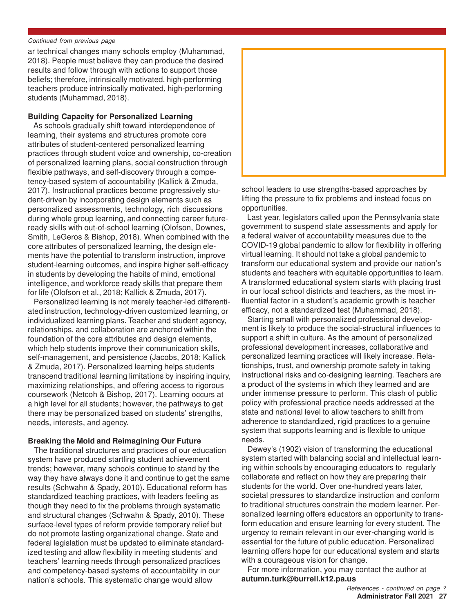#### Continued from previous page

ar technical changes many schools employ (Muhammad, 2018). People must believe they can produce the desired results and follow through with actions to support those beliefs; therefore, intrinsically motivated, high-performing teachers produce intrinsically motivated, high-performing students (Muhammad, 2018).

# **Building Capacity for Personalized Learning**

 As schools gradually shift toward interdependence of learning, their systems and structures promote core attributes of student-centered personalized learning practices through student voice and ownership, co-creation of personalized learning plans, social construction through flexible pathways, and self-discovery through a competency-based system of accountability (Kallick & Zmuda, 2017). Instructional practices become progressively student-driven by incorporating design elements such as personalized assessments, technology, rich discussions during whole group learning, and connecting career futureready skills with out-of-school learning (Olofson, Downes, Smith, LeGeros & Bishop, 2018). When combined with the core attributes of personalized learning, the design elements have the potential to transform instruction, improve student-learning outcomes, and inspire higher self-efficacy in students by developing the habits of mind, emotional intelligence, and workforce ready skills that prepare them for life (Olofson et al., 2018; Kallick & Zmuda, 2017).

 Personalized learning is not merely teacher-led differentiated instruction, technology-driven customized learning, or individualized learning plans. Teacher and student agency, relationships, and collaboration are anchored within the foundation of the core attributes and design elements, which help students improve their communication skills, self-management, and persistence (Jacobs, 2018; Kallick & Zmuda, 2017). Personalized learning helps students transcend traditional learning limitations by inspiring inquiry, maximizing relationships, and offering access to rigorous coursework (Netcoh & Bishop, 2017). Learning occurs at a high level for all students; however, the pathways to get there may be personalized based on students' strengths, needs, interests, and agency.

## **Breaking the Mold and Reimagining Our Future**

 The traditional structures and practices of our education system have produced startling student achievement trends; however, many schools continue to stand by the way they have always done it and continue to get the same results (Schwahn & Spady, 2010). Educational reform has standardized teaching practices, with leaders feeling as though they need to fix the problems through systematic and structural changes (Schwahn & Spady, 2010). These surface-level types of reform provide temporary relief but do not promote lasting organizational change. State and federal legislation must be updated to eliminate standardized testing and allow flexibility in meeting students' and teachers' learning needs through personalized practices and competency-based systems of accountability in our nation's schools. This systematic change would allow



school leaders to use strengths-based approaches by lifting the pressure to fix problems and instead focus on opportunities.

 Last year, legislators called upon the Pennsylvania state government to suspend state assessments and apply for a federal waiver of accountability measures due to the COVID-19 global pandemic to allow for flexibility in offering virtual learning. It should not take a global pandemic to transform our educational system and provide our nation's students and teachers with equitable opportunities to learn. A transformed educational system starts with placing trust in our local school districts and teachers, as the most influential factor in a student's academic growth is teacher efficacy, not a standardized test (Muhammad, 2018).

 Starting small with personalized professional development is likely to produce the social-structural influences to support a shift in culture. As the amount of personalized professional development increases, collaborative and personalized learning practices will likely increase. Relationships, trust, and ownership promote safety in taking instructional risks and co-designing learning. Teachers are a product of the systems in which they learned and are under immense pressure to perform. This clash of public policy with professional practice needs addressed at the state and national level to allow teachers to shift from adherence to standardized, rigid practices to a genuine system that supports learning and is flexible to unique needs.

 Dewey's (1902) vision of transforming the educational system started with balancing social and intellectual learning within schools by encouraging educators to regularly collaborate and reflect on how they are preparing their students for the world. Over one-hundred years later, societal pressures to standardize instruction and conform to traditional structures constrain the modern learner. Personalized learning offers educators an opportunity to transform education and ensure learning for every student. The urgency to remain relevant in our ever-changing world is essential for the future of public education. Personalized learning offers hope for our educational system and starts with a courageous vision for change.

 For more information, you may contact the author at **autumn.turk@burrell.k12.pa.us**